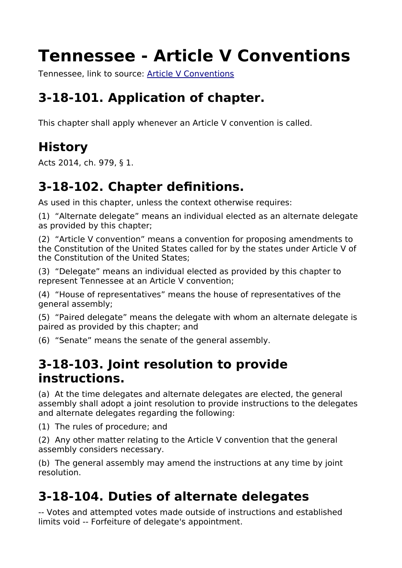# **Tennessee - Article V Conventions**

Tennessee, link to source: [Article V Conventions](https://advance.lexis.com/documentpage/?pdmfid=1000516&crid=bbb97580-60f1-4e88-9ad5-c249870b2718&nodeid=AADAASAAB&nodepath=%2FROOT%2FAAD%2FAADAAS%2FAADAASAAB&level=3&haschildren=&populated=false&title=3-18-101.+Application+of+chapter.&config=025054JABlOTJjNmIyNi0wYjI0LTRjZGEtYWE5ZC0zNGFhOWNhMjFlNDgKAFBvZENhdGFsb2cDFQ14bX2GfyBTaI9WcPX5&pddocfullpath=%2Fshared%2Fdocument%2Fstatutes-legislation%2Furn%3AcontentItem%3A5CD7-M220-R03P-039X-00008-00&ecomp=k357kkk&prid=87ec22a1-f240-472a-9ad8-f2f6500933e3#)

# **3-18-101. Application of chapter.**

This chapter shall apply whenever an Article V convention is called.

# **History**

Acts 2014, ch. 979, § 1.

# **3-18-102. Chapter definitions.**

As used in this chapter, unless the context otherwise requires:

(1) "Alternate delegate" means an individual elected as an alternate delegate as provided by this chapter;

(2) "Article V convention" means a convention for proposing amendments to the Constitution of the United States called for by the states under Article V of the Constitution of the United States;

(3) "Delegate" means an individual elected as provided by this chapter to represent Tennessee at an Article V convention;

(4) "House of representatives" means the house of representatives of the general assembly;

(5) "Paired delegate" means the delegate with whom an alternate delegate is paired as provided by this chapter; and

(6) "Senate" means the senate of the general assembly.

#### **3-18-103. Joint resolution to provide instructions.**

(a) At the time delegates and alternate delegates are elected, the general assembly shall adopt a joint resolution to provide instructions to the delegates and alternate delegates regarding the following:

(1) The rules of procedure; and

(2) Any other matter relating to the Article V convention that the general assembly considers necessary.

(b) The general assembly may amend the instructions at any time by joint resolution.

## **3-18-104. Duties of alternate delegates**

-- Votes and attempted votes made outside of instructions and established limits void -- Forfeiture of delegate's appointment.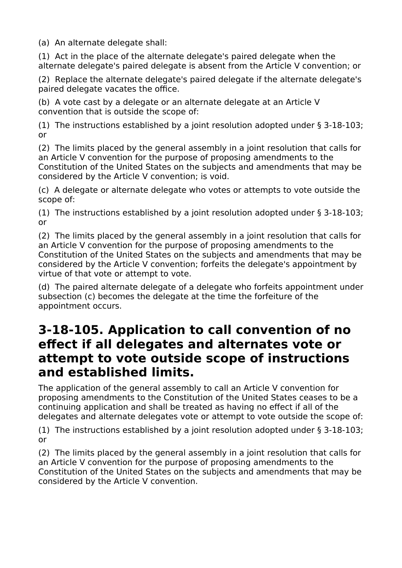(a) An alternate delegate shall:

(1) Act in the place of the alternate delegate's paired delegate when the alternate delegate's paired delegate is absent from the Article V convention; or

(2) Replace the alternate delegate's paired delegate if the alternate delegate's paired delegate vacates the office.

(b) A vote cast by a delegate or an alternate delegate at an Article V convention that is outside the scope of:

(1) The instructions established by a joint resolution adopted under § 3-18-103; or

(2) The limits placed by the general assembly in a joint resolution that calls for an Article V convention for the purpose of proposing amendments to the Constitution of the United States on the subjects and amendments that may be considered by the Article V convention; is void.

(c) A delegate or alternate delegate who votes or attempts to vote outside the scope of:

(1) The instructions established by a joint resolution adopted under § 3-18-103; or

(2) The limits placed by the general assembly in a joint resolution that calls for an Article V convention for the purpose of proposing amendments to the Constitution of the United States on the subjects and amendments that may be considered by the Article V convention; forfeits the delegate's appointment by virtue of that vote or attempt to vote.

(d) The paired alternate delegate of a delegate who forfeits appointment under subsection (c) becomes the delegate at the time the forfeiture of the appointment occurs.

#### **3-18-105. Application to call convention of no effect if all delegates and alternates vote or attempt to vote outside scope of instructions and established limits.**

The application of the general assembly to call an Article V convention for proposing amendments to the Constitution of the United States ceases to be a continuing application and shall be treated as having no effect if all of the delegates and alternate delegates vote or attempt to vote outside the scope of:

(1) The instructions established by a joint resolution adopted under § 3-18-103; or

(2) The limits placed by the general assembly in a joint resolution that calls for an Article V convention for the purpose of proposing amendments to the Constitution of the United States on the subjects and amendments that may be considered by the Article V convention.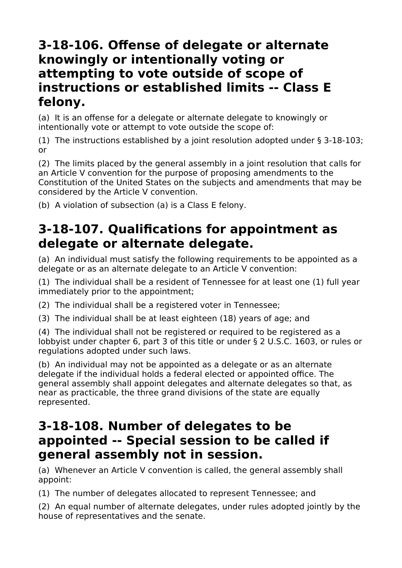#### **3-18-106. Offense of delegate or alternate knowingly or intentionally voting or attempting to vote outside of scope of instructions or established limits -- Class E felony.**

(a) It is an offense for a delegate or alternate delegate to knowingly or intentionally vote or attempt to vote outside the scope of:

(1) The instructions established by a joint resolution adopted under § 3-18-103; or

(2) The limits placed by the general assembly in a joint resolution that calls for an Article V convention for the purpose of proposing amendments to the Constitution of the United States on the subjects and amendments that may be considered by the Article V convention.

(b) A violation of subsection (a) is a Class E felony.

#### **3-18-107. Qualifications for appointment as delegate or alternate delegate.**

(a) An individual must satisfy the following requirements to be appointed as a delegate or as an alternate delegate to an Article V convention:

(1) The individual shall be a resident of Tennessee for at least one (1) full year immediately prior to the appointment;

(2) The individual shall be a registered voter in Tennessee;

(3) The individual shall be at least eighteen (18) years of age; and

(4) The individual shall not be registered or required to be registered as a lobbyist under chapter 6, part 3 of this title or under § 2 U.S.C. 1603, or rules or regulations adopted under such laws.

(b) An individual may not be appointed as a delegate or as an alternate delegate if the individual holds a federal elected or appointed office. The general assembly shall appoint delegates and alternate delegates so that, as near as practicable, the three grand divisions of the state are equally represented.

#### **3-18-108. Number of delegates to be appointed -- Special session to be called if general assembly not in session.**

(a) Whenever an Article V convention is called, the general assembly shall appoint:

(1) The number of delegates allocated to represent Tennessee; and

(2) An equal number of alternate delegates, under rules adopted jointly by the house of representatives and the senate.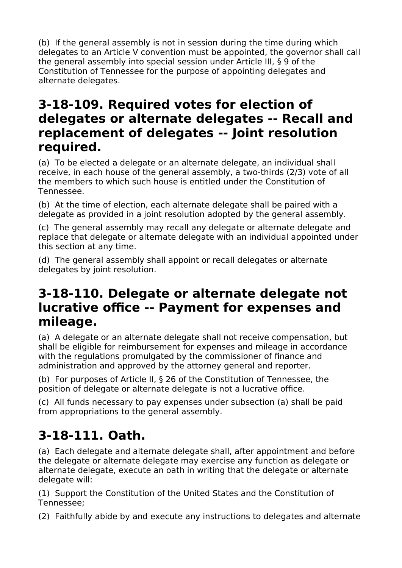(b) If the general assembly is not in session during the time during which delegates to an Article V convention must be appointed, the governor shall call the general assembly into special session under Article III, § 9 of the Constitution of Tennessee for the purpose of appointing delegates and alternate delegates.

#### **3-18-109. Required votes for election of delegates or alternate delegates -- Recall and replacement of delegates -- Joint resolution required.**

(a) To be elected a delegate or an alternate delegate, an individual shall receive, in each house of the general assembly, a two-thirds (2/3) vote of all the members to which such house is entitled under the Constitution of Tennessee.

(b) At the time of election, each alternate delegate shall be paired with a delegate as provided in a joint resolution adopted by the general assembly.

(c) The general assembly may recall any delegate or alternate delegate and replace that delegate or alternate delegate with an individual appointed under this section at any time.

(d) The general assembly shall appoint or recall delegates or alternate delegates by joint resolution.

#### **3-18-110. Delegate or alternate delegate not lucrative office -- Payment for expenses and mileage.**

(a) A delegate or an alternate delegate shall not receive compensation, but shall be eligible for reimbursement for expenses and mileage in accordance with the regulations promulgated by the commissioner of finance and administration and approved by the attorney general and reporter.

(b) For purposes of Article II, § 26 of the Constitution of Tennessee, the position of delegate or alternate delegate is not a lucrative office.

(c) All funds necessary to pay expenses under subsection (a) shall be paid from appropriations to the general assembly.

## **3-18-111. Oath.**

(a) Each delegate and alternate delegate shall, after appointment and before the delegate or alternate delegate may exercise any function as delegate or alternate delegate, execute an oath in writing that the delegate or alternate delegate will:

(1) Support the Constitution of the United States and the Constitution of Tennessee;

(2) Faithfully abide by and execute any instructions to delegates and alternate